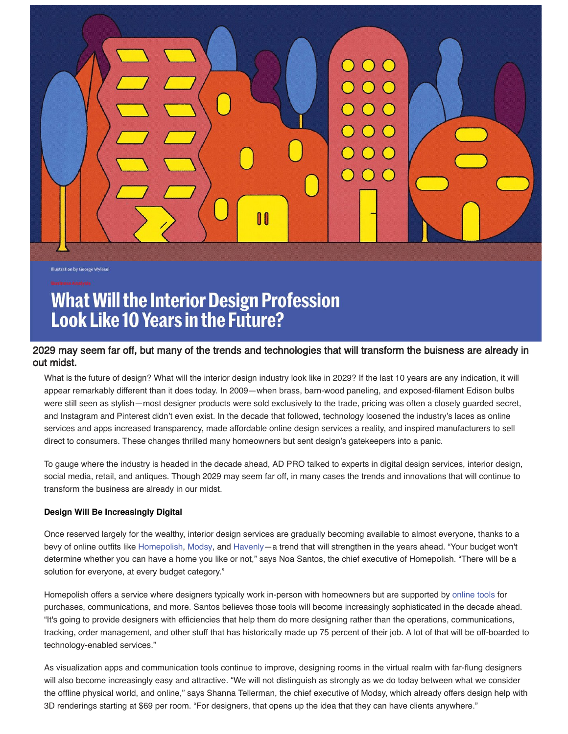

**Illustration by George Wylesol** 

# **What Will the Interior Design Profession Look Like 10 Years in the Future?**

# 2029 may seem far off, but many of the trends and technologies that will transform the buisness are already in out midst.

What is the future of design? What will the interior design industry look like in 2029? If the last 10 years are any indication, it will appear remarkably different than it does today. In 2009—when brass, barn-wood paneling, and exposed-filament Edison bulbs were still seen as stylish—most designer products were sold exclusively to the trade, pricing was often a closely guarded secret, and Instagram and Pinterest didn't even exist. In the decade that followed, technology loosened the industry's laces as online services and apps increased transparency, made affordable online design services a reality, and inspired manufacturers to sell direct to consumers. These changes thrilled many homeowners but sent design's gatekeepers into a panic.

To gauge where the industry is headed in the decade ahead, AD PRO talked to experts in digital design services, interior design, social media, retail, and antiques. Though 2029 may seem far off, in many cases the trends and innovations that will continue to transform the business are already in our midst.

# **Design Will Be Increasingly Digital**

Once reserved largely for the wealthy, interior design services are gradually becoming available to almost everyone, thanks to a bevy of online outfits like [Homepolish](https://www.homepolish.com/), [Modsy](https://www.modsy.com/), and [Havenly—](https://havenly.com/)a trend that will strengthen in the years ahead. "Your budget won't determine whether you can have a home you like or not," says Noa Santos, the chief executive of Homepolish. "There will be a solution for everyone, at every budget category."

Homepolish offers a service where designers typically work in-person with homeowners but are supported by [online tools](https://www.architecturaldigest.com/story/will-homepolishs-new-designer-software-be-a-game-changer) for purchases, communications, and more. Santos believes those tools will become increasingly sophisticated in the decade ahead. "It's going to provide designers with efficiencies that help them do more designing rather than the operations, communications, tracking, order management, and other stuff that has historically made up 75 percent of their job. A lot of that will be off-boarded to technology-enabled services."

As visualization apps and communication tools continue to improve, designing rooms in the virtual realm with far-flung designers will also become increasingly easy and attractive. "We will not distinguish as strongly as we do today between what we consider the offline physical world, and online," says Shanna Tellerman, the chief executive of Modsy, which already offers design help with 3D renderings starting at \$69 per room. "For designers, that opens up the idea that they can have clients anywhere."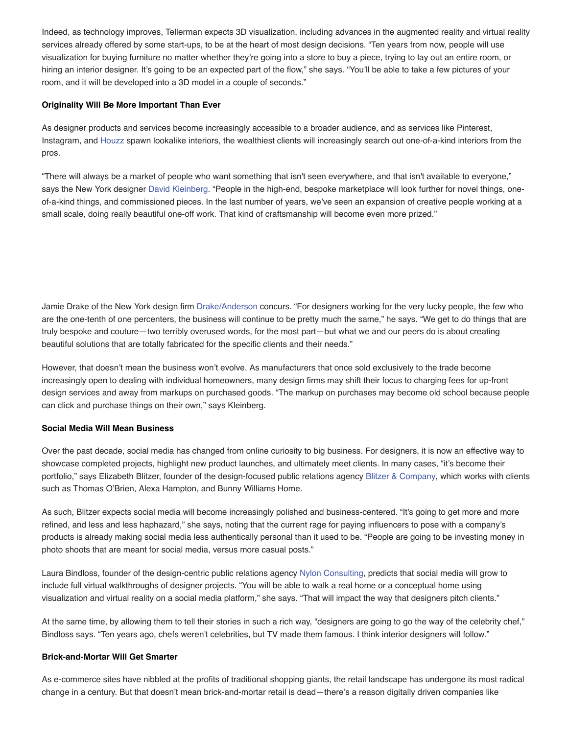Indeed, as technology improves, Tellerman expects 3D visualization, including advances in the augmented reality and virtual reality services already offered by some start-ups, to be at the heart of most design decisions. "Ten years from now, people will use visualization for buying furniture no matter whether they're going into a store to buy a piece, trying to lay out an entire room, or hiring an interior designer. It's going to be an expected part of the flow," she says. "You'll be able to take a few pictures of your room, and it will be developed into a 3D model in a couple of seconds."

## **Originality Will Be More Important Than Ever**

As designer products and services become increasingly accessible to a broader audience, and as services like Pinterest, Instagram, and [Houzz](https://www.architecturaldigest.com/story/houzz-designers-petition-visual-match-ecommerce) spawn lookalike interiors, the wealthiest clients will increasingly search out one-of-a-kind interiors from the pros.

"There will always be a market of people who want something that isn't seen everywhere, and that isn't available to everyone," says the New York designer [David Kleinberg](http://dkda.com/). "People in the high-end, bespoke marketplace will look further for novel things, oneof-a-kind things, and commissioned pieces. In the last number of years, we've seen an expansion of creative people working at a small scale, doing really beautiful one-off work. That kind of craftsmanship will become even more prized."

Jamie Drake of the New York design firm [Drake/Anderson](http://drakeanderson.com/category/portfolio/) concurs. "For designers working for the very lucky people, the few who are the one-tenth of one percenters, the business will continue to be pretty much the same," he says. "We get to do things that are truly bespoke and couture—two terribly overused words, for the most part—but what we and our peers do is about creating beautiful solutions that are totally fabricated for the specific clients and their needs."

However, that doesn't mean the business won't evolve. As manufacturers that once sold exclusively to the trade become increasingly open to dealing with individual homeowners, many design firms may shift their focus to charging fees for up-front design services and away from markups on purchased goods. "The markup on purchases may become old school because people can click and purchase things on their own," says Kleinberg.

# **Social Media Will Mean Business**

Over the past decade, social media has changed from online curiosity to big business. For designers, it is now an effective way to showcase completed projects, highlight new product launches, and ultimately meet clients. In many cases, "it's become their portfolio," says Elizabeth Blitzer, founder of the design-focused public relations agency [Blitzer & Company,](https://www.blitzerandcompany.com/) which works with clients such as Thomas O'Brien, Alexa Hampton, and Bunny Williams Home.

As such, Blitzer expects social media will become increasingly polished and business-centered. "It's going to get more and more refined, and less and less haphazard," she says, noting that the current rage for paying influencers to pose with a company's products is already making social media less authentically personal than it used to be. "People are going to be investing money in photo shoots that are meant for social media, versus more casual posts."

Laura Bindloss, founder of the design-centric public relations agency [Nylon Consulting,](http://www.nylonconsulting.com/) predicts that social media will grow to include full virtual walkthroughs of designer projects. "You will be able to walk a real home or a conceptual home using visualization and virtual reality on a social media platform," she says. "That will impact the way that designers pitch clients."

At the same time, by allowing them to tell their stories in such a rich way, "designers are going to go the way of the celebrity chef," Bindloss says. "Ten years ago, chefs weren't celebrities, but TV made them famous. I think interior designers will follow."

## **Brick-and-Mortar Will Get Smarter**

As e-commerce sites have nibbled at the profits of traditional shopping giants, the retail landscape has undergone its most radical change in a century. But that doesn't mean brick-and-mortar retail is dead—there's a reason digitally driven companies like